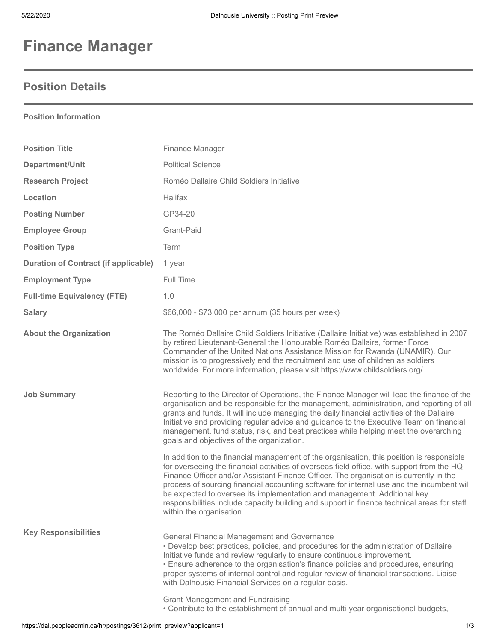## **Finance Manager**

## **Position Details**

**Position Information**

| <b>Position Title</b>                       | Finance Manager                                                                                                                                                                                                                                                                                                                                                                                                                                                                                                                                                                       |
|---------------------------------------------|---------------------------------------------------------------------------------------------------------------------------------------------------------------------------------------------------------------------------------------------------------------------------------------------------------------------------------------------------------------------------------------------------------------------------------------------------------------------------------------------------------------------------------------------------------------------------------------|
| Department/Unit                             | <b>Political Science</b>                                                                                                                                                                                                                                                                                                                                                                                                                                                                                                                                                              |
| <b>Research Project</b>                     | Roméo Dallaire Child Soldiers Initiative                                                                                                                                                                                                                                                                                                                                                                                                                                                                                                                                              |
| Location                                    | <b>Halifax</b>                                                                                                                                                                                                                                                                                                                                                                                                                                                                                                                                                                        |
| <b>Posting Number</b>                       | GP34-20                                                                                                                                                                                                                                                                                                                                                                                                                                                                                                                                                                               |
| <b>Employee Group</b>                       | Grant-Paid                                                                                                                                                                                                                                                                                                                                                                                                                                                                                                                                                                            |
| <b>Position Type</b>                        | Term                                                                                                                                                                                                                                                                                                                                                                                                                                                                                                                                                                                  |
| <b>Duration of Contract (if applicable)</b> | 1 year                                                                                                                                                                                                                                                                                                                                                                                                                                                                                                                                                                                |
| <b>Employment Type</b>                      | Full Time                                                                                                                                                                                                                                                                                                                                                                                                                                                                                                                                                                             |
| <b>Full-time Equivalency (FTE)</b>          | 1.0                                                                                                                                                                                                                                                                                                                                                                                                                                                                                                                                                                                   |
| <b>Salary</b>                               | \$66,000 - \$73,000 per annum (35 hours per week)                                                                                                                                                                                                                                                                                                                                                                                                                                                                                                                                     |
| <b>About the Organization</b>               | The Roméo Dallaire Child Soldiers Initiative (Dallaire Initiative) was established in 2007<br>by retired Lieutenant-General the Honourable Roméo Dallaire, former Force<br>Commander of the United Nations Assistance Mission for Rwanda (UNAMIR). Our<br>mission is to progressively end the recruitment and use of children as soldiers<br>worldwide. For more information, please visit https://www.childsoldiers.org/                                                                                                                                                             |
| <b>Job Summary</b>                          | Reporting to the Director of Operations, the Finance Manager will lead the finance of the<br>organisation and be responsible for the management, administration, and reporting of all<br>grants and funds. It will include managing the daily financial activities of the Dallaire<br>Initiative and providing regular advice and guidance to the Executive Team on financial<br>management, fund status, risk, and best practices while helping meet the overarching<br>goals and objectives of the organization.                                                                    |
|                                             | In addition to the financial management of the organisation, this position is responsible<br>for overseeing the financial activities of overseas field office, with support from the HQ<br>Finance Officer and/or Assistant Finance Officer. The organisation is currently in the<br>process of sourcing financial accounting software for internal use and the incumbent will<br>be expected to oversee its implementation and management. Additional key<br>responsibilities include capacity building and support in finance technical areas for staff<br>within the organisation. |
| <b>Key Responsibilities</b>                 | <b>General Financial Management and Governance</b><br>• Develop best practices, policies, and procedures for the administration of Dallaire<br>Initiative funds and review regularly to ensure continuous improvement.<br>• Ensure adherence to the organisation's finance policies and procedures, ensuring<br>proper systems of internal control and regular review of financial transactions. Liaise<br>with Dalhousie Financial Services on a regular basis.                                                                                                                      |
|                                             | <b>Grant Management and Fundraising</b><br>. Contribute to the establishment of annual and multi-year organisational budgets,                                                                                                                                                                                                                                                                                                                                                                                                                                                         |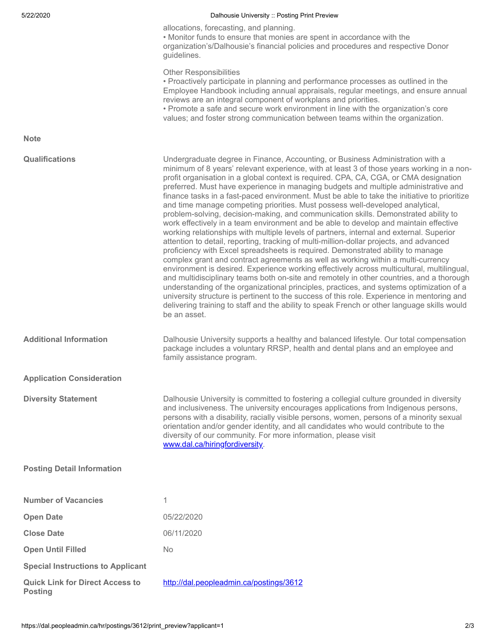| 5/22/2020                                                | Dalhousie University :: Posting Print Preview                                                                                                                                                                                                                                                                                                                                                                                                                                                                                                                                                                                                                                                                                                                                                                                                                                                                                                                                                                                                                                                                                                                                                                                                                                                                                                                                                                                                                                                                                                                                               |
|----------------------------------------------------------|---------------------------------------------------------------------------------------------------------------------------------------------------------------------------------------------------------------------------------------------------------------------------------------------------------------------------------------------------------------------------------------------------------------------------------------------------------------------------------------------------------------------------------------------------------------------------------------------------------------------------------------------------------------------------------------------------------------------------------------------------------------------------------------------------------------------------------------------------------------------------------------------------------------------------------------------------------------------------------------------------------------------------------------------------------------------------------------------------------------------------------------------------------------------------------------------------------------------------------------------------------------------------------------------------------------------------------------------------------------------------------------------------------------------------------------------------------------------------------------------------------------------------------------------------------------------------------------------|
|                                                          | allocations, forecasting, and planning.<br>. Monitor funds to ensure that monies are spent in accordance with the<br>organization's/Dalhousie's financial policies and procedures and respective Donor<br>guidelines.                                                                                                                                                                                                                                                                                                                                                                                                                                                                                                                                                                                                                                                                                                                                                                                                                                                                                                                                                                                                                                                                                                                                                                                                                                                                                                                                                                       |
|                                                          | <b>Other Responsibilities</b><br>• Proactively participate in planning and performance processes as outlined in the<br>Employee Handbook including annual appraisals, regular meetings, and ensure annual<br>reviews are an integral component of workplans and priorities.<br>• Promote a safe and secure work environment in line with the organization's core<br>values; and foster strong communication between teams within the organization.                                                                                                                                                                                                                                                                                                                                                                                                                                                                                                                                                                                                                                                                                                                                                                                                                                                                                                                                                                                                                                                                                                                                          |
| <b>Note</b>                                              |                                                                                                                                                                                                                                                                                                                                                                                                                                                                                                                                                                                                                                                                                                                                                                                                                                                                                                                                                                                                                                                                                                                                                                                                                                                                                                                                                                                                                                                                                                                                                                                             |
| Qualifications                                           | Undergraduate degree in Finance, Accounting, or Business Administration with a<br>minimum of 8 years' relevant experience, with at least 3 of those years working in a non-<br>profit organisation in a global context is required. CPA, CA, CGA, or CMA designation<br>preferred. Must have experience in managing budgets and multiple administrative and<br>finance tasks in a fast-paced environment. Must be able to take the initiative to prioritize<br>and time manage competing priorities. Must possess well-developed analytical,<br>problem-solving, decision-making, and communication skills. Demonstrated ability to<br>work effectively in a team environment and be able to develop and maintain effective<br>working relationships with multiple levels of partners, internal and external. Superior<br>attention to detail, reporting, tracking of multi-million-dollar projects, and advanced<br>proficiency with Excel spreadsheets is required. Demonstrated ability to manage<br>complex grant and contract agreements as well as working within a multi-currency<br>environment is desired. Experience working effectively across multicultural, multilingual,<br>and multidisciplinary teams both on-site and remotely in other countries, and a thorough<br>understanding of the organizational principles, practices, and systems optimization of a<br>university structure is pertinent to the success of this role. Experience in mentoring and<br>delivering training to staff and the ability to speak French or other language skills would<br>be an asset. |
| <b>Additional Information</b>                            | Dalhousie University supports a healthy and balanced lifestyle. Our total compensation<br>package includes a voluntary RRSP, health and dental plans and an employee and<br>family assistance program.                                                                                                                                                                                                                                                                                                                                                                                                                                                                                                                                                                                                                                                                                                                                                                                                                                                                                                                                                                                                                                                                                                                                                                                                                                                                                                                                                                                      |
| <b>Application Consideration</b>                         |                                                                                                                                                                                                                                                                                                                                                                                                                                                                                                                                                                                                                                                                                                                                                                                                                                                                                                                                                                                                                                                                                                                                                                                                                                                                                                                                                                                                                                                                                                                                                                                             |
| <b>Diversity Statement</b>                               | Dalhousie University is committed to fostering a collegial culture grounded in diversity<br>and inclusiveness. The university encourages applications from Indigenous persons,<br>persons with a disability, racially visible persons, women, persons of a minority sexual<br>orientation and/or gender identity, and all candidates who would contribute to the<br>diversity of our community. For more information, please visit<br>www.dal.ca/hiringfordiversity.                                                                                                                                                                                                                                                                                                                                                                                                                                                                                                                                                                                                                                                                                                                                                                                                                                                                                                                                                                                                                                                                                                                        |
| <b>Posting Detail Information</b>                        |                                                                                                                                                                                                                                                                                                                                                                                                                                                                                                                                                                                                                                                                                                                                                                                                                                                                                                                                                                                                                                                                                                                                                                                                                                                                                                                                                                                                                                                                                                                                                                                             |
| <b>Number of Vacancies</b>                               | 1                                                                                                                                                                                                                                                                                                                                                                                                                                                                                                                                                                                                                                                                                                                                                                                                                                                                                                                                                                                                                                                                                                                                                                                                                                                                                                                                                                                                                                                                                                                                                                                           |
| <b>Open Date</b>                                         | 05/22/2020                                                                                                                                                                                                                                                                                                                                                                                                                                                                                                                                                                                                                                                                                                                                                                                                                                                                                                                                                                                                                                                                                                                                                                                                                                                                                                                                                                                                                                                                                                                                                                                  |
| <b>Close Date</b>                                        | 06/11/2020                                                                                                                                                                                                                                                                                                                                                                                                                                                                                                                                                                                                                                                                                                                                                                                                                                                                                                                                                                                                                                                                                                                                                                                                                                                                                                                                                                                                                                                                                                                                                                                  |
| <b>Open Until Filled</b>                                 | No                                                                                                                                                                                                                                                                                                                                                                                                                                                                                                                                                                                                                                                                                                                                                                                                                                                                                                                                                                                                                                                                                                                                                                                                                                                                                                                                                                                                                                                                                                                                                                                          |
| <b>Special Instructions to Applicant</b>                 |                                                                                                                                                                                                                                                                                                                                                                                                                                                                                                                                                                                                                                                                                                                                                                                                                                                                                                                                                                                                                                                                                                                                                                                                                                                                                                                                                                                                                                                                                                                                                                                             |
| <b>Quick Link for Direct Access to</b><br><b>Posting</b> | http://dal.peopleadmin.ca/postings/3612                                                                                                                                                                                                                                                                                                                                                                                                                                                                                                                                                                                                                                                                                                                                                                                                                                                                                                                                                                                                                                                                                                                                                                                                                                                                                                                                                                                                                                                                                                                                                     |